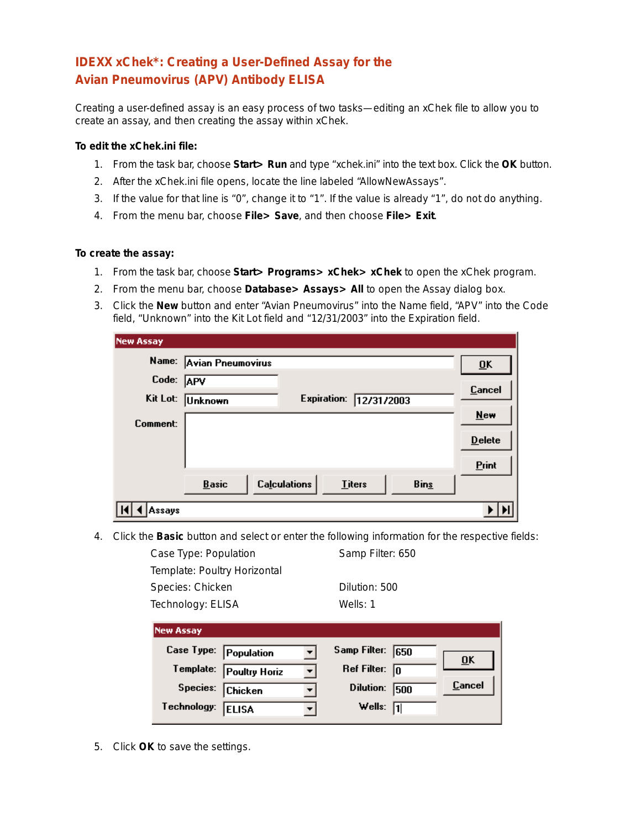## **IDEXX xChek\*: Creating a User-Defined Assay for the Avian Pneumovirus (APV) Antibody ELISA**

Creating a user-defined assay is an easy process of two tasks—editing an xChek file to allow you to create an assay, and then creating the assay within xChek.

## **To edit the xChek.ini file:**

- 1. From the task bar, choose **Start> Run** and type "xchek.ini" into the text box. Click the **OK** button.
- 2. After the xChek.ini file opens, locate the line labeled "AllowNewAssays".
- 3. If the value for that line is "0", change it to "1". If the value is already "1", do not do anything.
- 4. From the menu bar, choose **File> Save**, and then choose **File> Exit**.

## **To create the assay:**

- 1. From the task bar, choose **Start> Programs> xChek> xChek** to open the xChek program.
- 2. From the menu bar, choose **Database> Assays> All** to open the Assay dialog box.
- 3. Click the **New** button and enter "Avian Pneumovirus" into the Name field, "APV" into the Code field, "Unknown" into the Kit Lot field and "12/31/2003" into the Expiration field.

| <b>New Assay</b> |                                                                     |                           |
|------------------|---------------------------------------------------------------------|---------------------------|
|                  | Name: Avian Pneumovirus                                             | $\overline{\mathbf{0}}$ K |
| Code: APV        |                                                                     | Cancel                    |
| Kit Lot:         | Expiration: 12/31/2003<br><b>Unknown</b>                            |                           |
| Comment:         |                                                                     | $New$                     |
|                  |                                                                     | $D$ elete                 |
|                  |                                                                     | Print                     |
|                  | <b>Calculations</b><br><b>Basic</b><br><b>Bins</b><br><b>Titers</b> |                           |
| Assays           |                                                                     |                           |

4. Click the **Basic** button and select or enter the following information for the respective fields:

Case Type: Population Samp Filter: 650 Template: Poultry Horizontal Species: Chicken Dilution: 500 Technology: ELISA Wells: 1 **New Assay** Case Type: Population Samp Filter: 650 ٠ **OK** Template: Poultry Horiz Ref Filter:  $\sqrt{0}$  $\blacktriangledown$ Cancel Dilution: 500 Species: **Chicken**  $\blacktriangledown$ Technology: ELISA Wells:  $\sqrt{1}$  $\vert \cdot \vert$ 

5. Click **OK** to save the settings.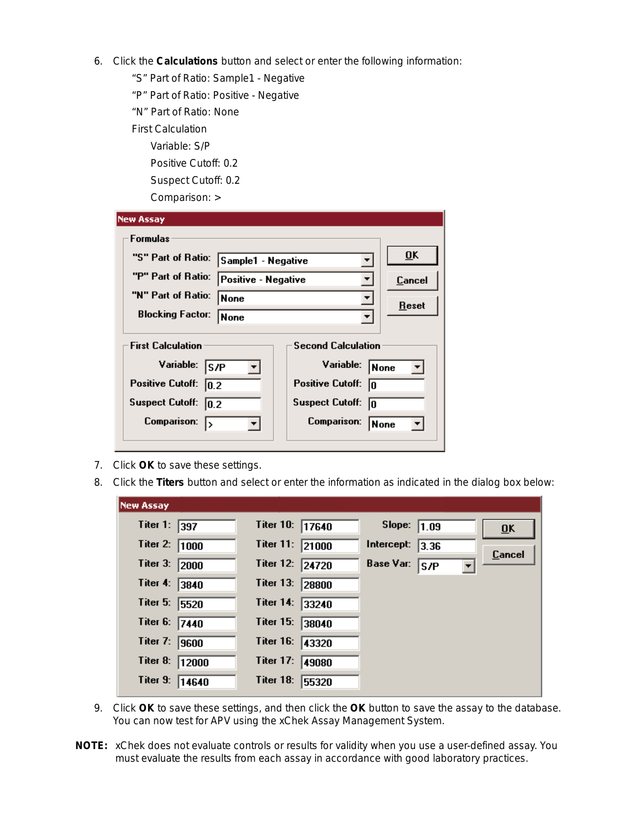- 6. Click the **Calculations** button and select or enter the following information:
	- "S" Part of Ratio: Sample1 Negative
	- "P" Part of Ratio: Positive Negative
	- "N" Part of Ratio: None
	- First Calculation
		- Variable: S/P
		- Positive Cutoff: 0.2
		- Suspect Cutoff: 0.2

| <b>New Assay</b>                                                                                                                     |                               |                                                                                                                                               |  |  |  |  |
|--------------------------------------------------------------------------------------------------------------------------------------|-------------------------------|-----------------------------------------------------------------------------------------------------------------------------------------------|--|--|--|--|
| <b>Formulas</b>                                                                                                                      |                               |                                                                                                                                               |  |  |  |  |
| "S" Part of Ratio: Sample1 - Negative                                                                                                |                               | $\overline{\mathbf{0}}$ K                                                                                                                     |  |  |  |  |
| "P" Part of Ratio:                                                                                                                   | Positive - Negative<br>Cancel |                                                                                                                                               |  |  |  |  |
| "N" Part of Ratio:                                                                                                                   | None                          | <b>Reset</b>                                                                                                                                  |  |  |  |  |
| <b>Blocking Factor:</b>                                                                                                              | None                          |                                                                                                                                               |  |  |  |  |
| <b>First Calculation</b><br>Variable:<br><b>S/P</b><br><b>Positive Cutoff:</b><br> 0.2 <br>Suspect Cutoff: 0.2<br><b>Comparison:</b> |                               | <b>Second Calculation</b><br>Variable:<br>None<br><b>Positive Cutoff:</b><br>10<br><b>Suspect Cutoff:</b><br>10<br><b>Comparison:</b><br>None |  |  |  |  |

- 7. Click **OK** to save these settings.
- 8. Click the **Titers** button and select or enter the information as indicated in the dialog box below:

| <b>New Assay</b> |                                                              |
|------------------|--------------------------------------------------------------|
| Titer 1:<br>397  | Titer 10: 17640<br>Slope: $\boxed{1.09}$<br>$\overline{0}$ K |
| Titer 2:<br>1000 | Titer 11:<br>Intercept:<br>21000<br>3.36<br>Cancel           |
| Titer 3:<br>2000 | <b>Base Var:</b><br>Titer 12: 24720<br> S/P                  |
| Titer 4:         | Titer 13:                                                    |
| 3840             | 28800                                                        |
| Titer 5:         | Titer 14:                                                    |
| 5520             | 33240                                                        |
| Titer 6:         | Titer 15:                                                    |
| 7440             | 38040                                                        |
| Titer 7:         | Titer 16:                                                    |
| 9600             | 43320                                                        |
| Titer 8:         | Titer 17:                                                    |
| 12000            | 49080                                                        |
| Titer 9:         | Titer 18:                                                    |
| 14640            | 55320                                                        |

- 9. Click **OK** to save these settings, and then click the **OK** button to save the assay to the database. You can now test for APV using the xChek Assay Management System.
- **NOTE:** xChek does not evaluate controls or results for validity when you use a user-defined assay. You must evaluate the results from each assay in accordance with good laboratory practices.